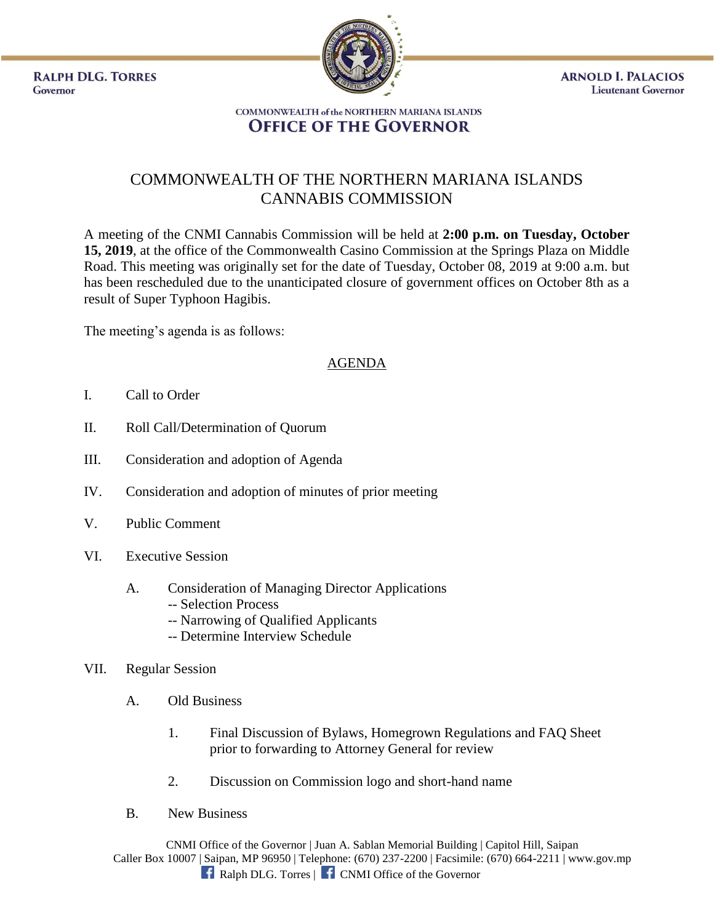**RALPH DLG. TORRES** Governor



**ARNOLD I. PALACIOS Lieutenant Governor** 

#### **COMMONWEALTH of the NORTHERN MARIANA ISLANDS OFFICE OF THE GOVERNOR**

# COMMONWEALTH OF THE NORTHERN MARIANA ISLANDS CANNABIS COMMISSION

A meeting of the CNMI Cannabis Commission will be held at **2:00 p.m. on Tuesday, October 15, 2019**, at the office of the Commonwealth Casino Commission at the Springs Plaza on Middle Road. This meeting was originally set for the date of Tuesday, October 08, 2019 at 9:00 a.m. but has been rescheduled due to the unanticipated closure of government offices on October 8th as a result of Super Typhoon Hagibis.

The meeting's agenda is as follows:

## AGENDA

- I. Call to Order
- II. Roll Call/Determination of Quorum
- III. Consideration and adoption of Agenda
- IV. Consideration and adoption of minutes of prior meeting
- V. Public Comment
- VI. Executive Session
	- A. Consideration of Managing Director Applications -- Selection Process
		- -- Narrowing of Qualified Applicants
		- -- Determine Interview Schedule

#### VII. Regular Session

- A. Old Business
	- 1. Final Discussion of Bylaws, Homegrown Regulations and FAQ Sheet prior to forwarding to Attorney General for review
	- 2. Discussion on Commission logo and short-hand name
- B. New Business

CNMI Office of the Governor | Juan A. Sablan Memorial Building | Capitol Hill, Saipan Caller Box 10007 | Saipan, MP 96950 | Telephone: (670) 237-2200 | Facsimile: (670) 664-2211 | www.gov.mp **f** Ralph DLG. Torres | **f** CNMI Office of the Governor